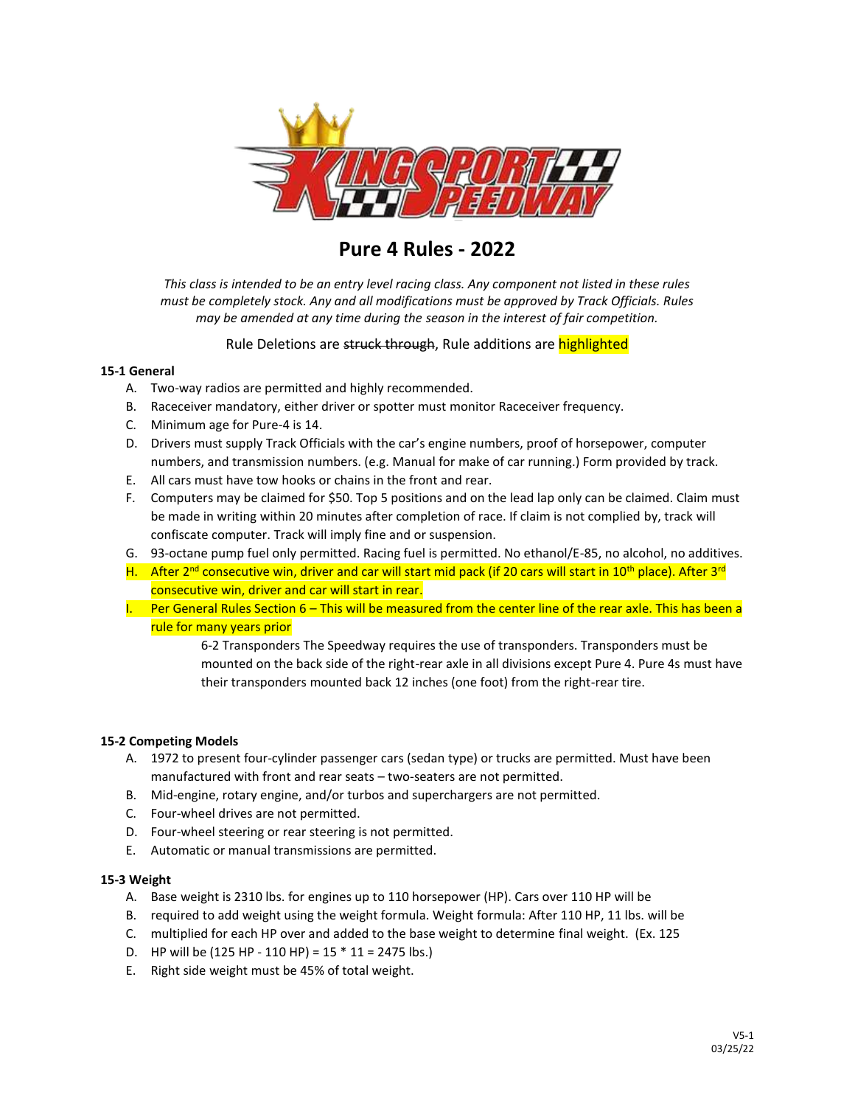

**Pure 4 Rules - 2022**

*This class is intended to be an entry level racing class. Any component not listed in these rules must be completely stock. Any and all modifications must be approved by Track Officials. Rules may be amended at any time during the season in the interest of fair competition.*

## Rule Deletions are struck through, Rule additions are highlighted

## **15‐1 General**

- A. Two‐way radios are permitted and highly recommended.
- B. Raceceiver mandatory, either driver or spotter must monitor Raceceiver frequency.
- C. Minimum age for Pure‐4 is 14.
- D. Drivers must supply Track Officials with the car's engine numbers, proof of horsepower, computer numbers, and transmission numbers. (e.g. Manual for make of car running.) Form provided by track.
- E. All cars must have tow hooks or chains in the front and rear.
- F. Computers may be claimed for \$50. Top 5 positions and on the lead lap only can be claimed. Claim must be made in writing within 20 minutes after completion of race. If claim is not complied by, track will confiscate computer. Track will imply fine and or suspension.
- G. 93-octane pump fuel only permitted. Racing fuel is permitted. No ethanol/E-85, no alcohol, no additives.
- H. After 2<sup>nd</sup> consecutive win, driver and car will start mid pack (if 20 cars will start in 10<sup>th</sup> place). After 3<sup>rd</sup> consecutive win, driver and car will start in rear.
- I. Per General Rules Section 6 This will be measured from the center line of the rear axle. This has been a rule for many years prior

6-2 Transponders The Speedway requires the use of transponders. Transponders must be mounted on the back side of the right-rear axle in all divisions except Pure 4. Pure 4s must have their transponders mounted back 12 inches (one foot) from the right-rear tire.

## **15‐2 Competing Models**

- A. 1972 to present four‐cylinder passenger cars (sedan type) or trucks are permitted. Must have been manufactured with front and rear seats – two-seaters are not permitted.
- B. Mid‐engine, rotary engine, and/or turbos and superchargers are not permitted.
- C. Four-wheel drives are not permitted.
- D. Four-wheel steering or rear steering is not permitted.
- E. Automatic or manual transmissions are permitted.

## **15‐3 Weight**

- A. Base weight is 2310 lbs. for engines up to 110 horsepower (HP). Cars over 110 HP will be
- B. required to add weight using the weight formula. Weight formula: After 110 HP, 11 lbs. will be
- C. multiplied for each HP over and added to the base weight to determine final weight. (Ex. 125
- D. HP will be  $(125 HP 110 HP) = 15 * 11 = 2475$  lbs.)
- E. Right side weight must be 45% of total weight.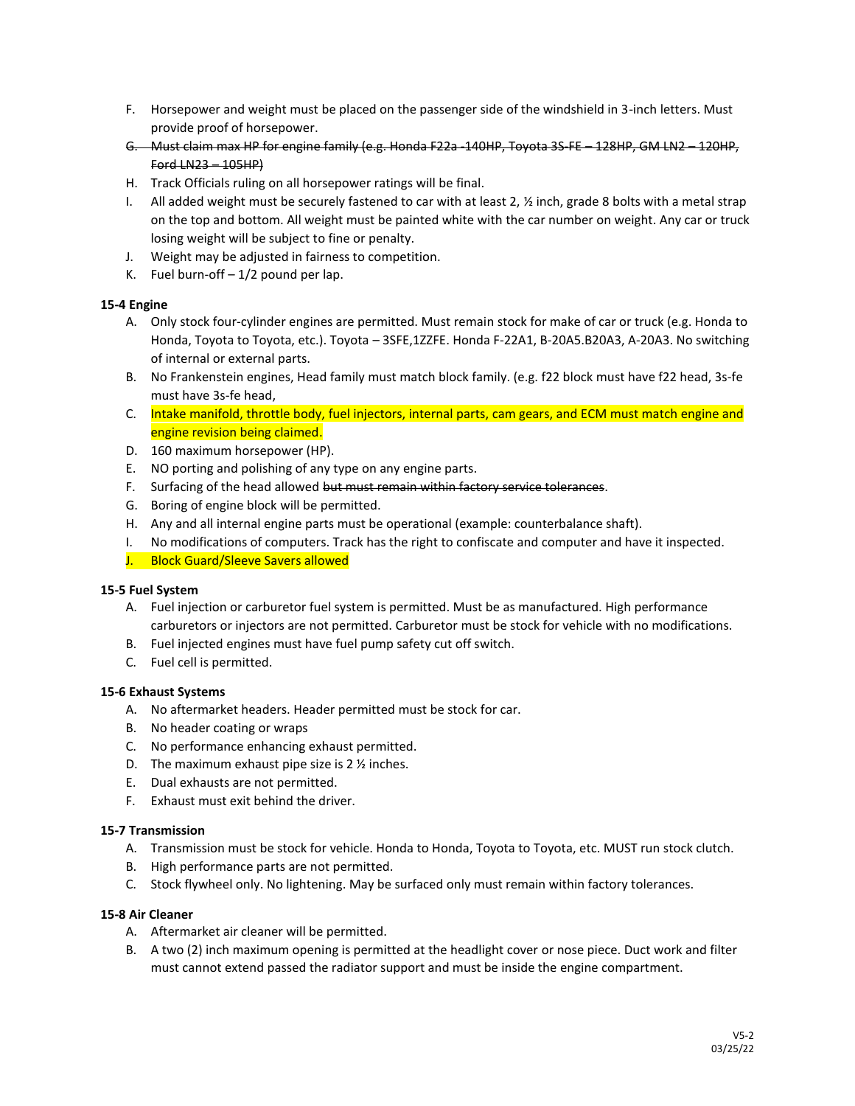- F. Horsepower and weight must be placed on the passenger side of the windshield in 3-inch letters. Must provide proof of horsepower.
- G. Must claim max HP for engine family (e.g. Honda F22a ‐140HP, Toyota 3S‐FE 128HP, GM LN2 120HP, Ford LN23 – 105HP)
- H. Track Officials ruling on all horsepower ratings will be final.
- I. All added weight must be securely fastened to car with at least  $2, \frac{1}{2}$  inch, grade 8 bolts with a metal strap on the top and bottom. All weight must be painted white with the car number on weight. Any car or truck losing weight will be subject to fine or penalty.
- J. Weight may be adjusted in fairness to competition.
- K. Fuel burn-off  $-1/2$  pound per lap.

## **15‐4 Engine**

- A. Only stock four‐cylinder engines are permitted. Must remain stock for make of car or truck (e.g. Honda to Honda, Toyota to Toyota, etc.). Toyota – 3SFE,1ZZFE. Honda F‐22A1, B‐20A5.B20A3, A‐20A3. No switching of internal or external parts.
- B. No Frankenstein engines, Head family must match block family. (e.g. f22 block must have f22 head, 3s‐fe must have 3s‐fe head,
- C. Intake manifold, throttle body, fuel injectors, internal parts, cam gears, and ECM must match engine and engine revision being claimed.
- D. 160 maximum horsepower (HP).
- E. NO porting and polishing of any type on any engine parts.
- F. Surfacing of the head allowed but must remain within factory service tolerances.
- G. Boring of engine block will be permitted.
- H. Any and all internal engine parts must be operational (example: counterbalance shaft).
- I. No modifications of computers. Track has the right to confiscate and computer and have it inspected.
- J. Block Guard/Sleeve Savers allowed

## **15‐5 Fuel System**

- A. Fuel injection or carburetor fuel system is permitted. Must be as manufactured. High performance carburetors or injectors are not permitted. Carburetor must be stock for vehicle with no modifications.
- B. Fuel injected engines must have fuel pump safety cut off switch.
- C. Fuel cell is permitted.

## **15‐6 Exhaust Systems**

- A. No aftermarket headers. Header permitted must be stock for car.
- B. No header coating or wraps
- C. No performance enhancing exhaust permitted.
- D. The maximum exhaust pipe size is  $2 \frac{1}{2}$  inches.
- E. Dual exhausts are not permitted.
- F. Exhaust must exit behind the driver.

## **15‐7 Transmission**

- A. Transmission must be stock for vehicle. Honda to Honda, Toyota to Toyota, etc. MUST run stock clutch.
- B. High performance parts are not permitted.
- C. Stock flywheel only. No lightening. May be surfaced only must remain within factory tolerances.

#### **15‐8 Air Cleaner**

- A. Aftermarket air cleaner will be permitted.
- B. A two (2) inch maximum opening is permitted at the headlight cover or nose piece. Duct work and filter must cannot extend passed the radiator support and must be inside the engine compartment.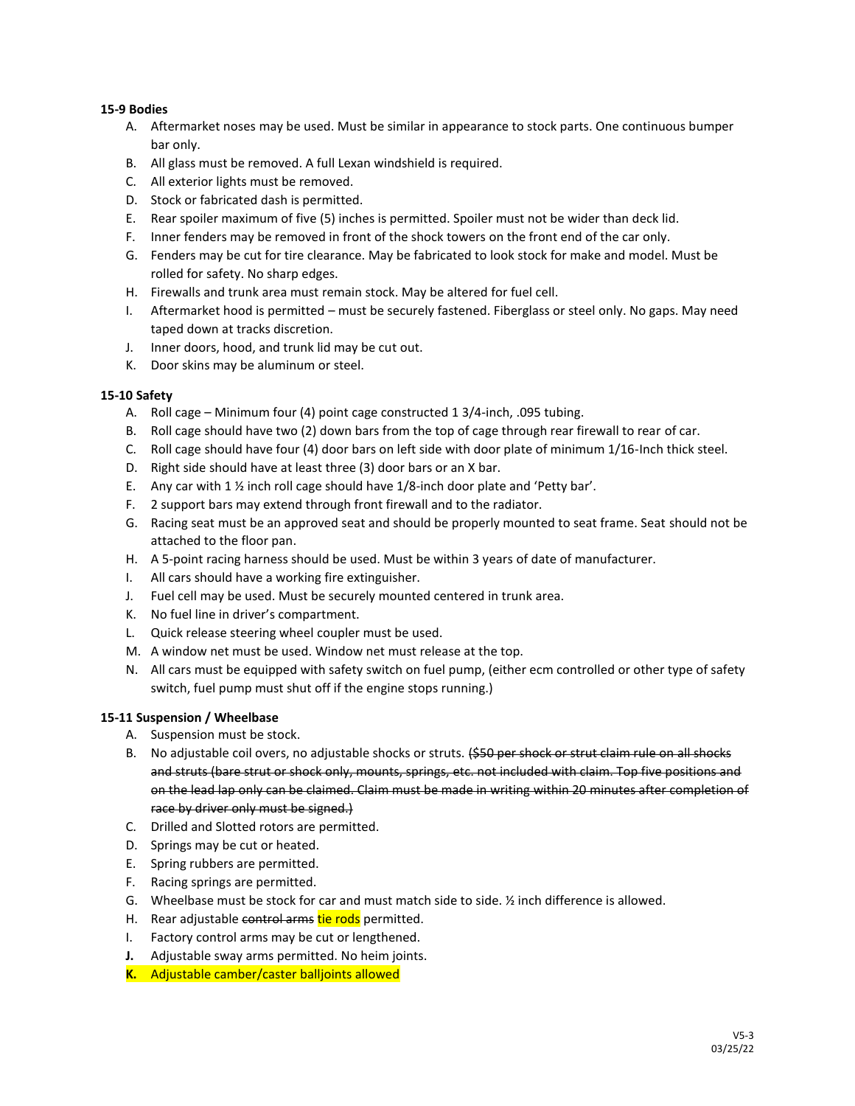## **15‐9 Bodies**

- A. Aftermarket noses may be used. Must be similar in appearance to stock parts. One continuous bumper bar only.
- B. All glass must be removed. A full Lexan windshield is required.
- C. All exterior lights must be removed.
- D. Stock or fabricated dash is permitted.
- E. Rear spoiler maximum of five (5) inches is permitted. Spoiler must not be wider than deck lid.
- F. Inner fenders may be removed in front of the shock towers on the front end of the car only.
- G. Fenders may be cut for tire clearance. May be fabricated to look stock for make and model. Must be rolled for safety. No sharp edges.
- H. Firewalls and trunk area must remain stock. May be altered for fuel cell.
- I. Aftermarket hood is permitted must be securely fastened. Fiberglass or steel only. No gaps. May need taped down at tracks discretion.
- J. Inner doors, hood, and trunk lid may be cut out.
- K. Door skins may be aluminum or steel.

## **15‐10 Safety**

- A. Roll cage Minimum four (4) point cage constructed 1 3/4‐inch, .095 tubing.
- B. Roll cage should have two (2) down bars from the top of cage through rear firewall to rear of car.
- C. Roll cage should have four (4) door bars on left side with door plate of minimum 1/16-Inch thick steel.
- D. Right side should have at least three (3) door bars or an X bar.
- E. Any car with 1  $\frac{1}{2}$  inch roll cage should have 1/8-inch door plate and 'Petty bar'.
- F. 2 support bars may extend through front firewall and to the radiator.
- G. Racing seat must be an approved seat and should be properly mounted to seat frame. Seat should not be attached to the floor pan.
- H. A 5-point racing harness should be used. Must be within 3 years of date of manufacturer.
- I. All cars should have a working fire extinguisher.
- J. Fuel cell may be used. Must be securely mounted centered in trunk area.
- K. No fuel line in driver's compartment.
- L. Quick release steering wheel coupler must be used.
- M. A window net must be used. Window net must release at the top.
- N. All cars must be equipped with safety switch on fuel pump, (either ecm controlled or other type of safety switch, fuel pump must shut off if the engine stops running.)

## **15‐11 Suspension / Wheelbase**

- A. Suspension must be stock.
- B. No adjustable coil overs, no adjustable shocks or struts. (\$50 per shock or strut claim rule on all shocks and struts (bare strut or shock only, mounts, springs, etc. not included with claim. Top five positions and on the lead lap only can be claimed. Claim must be made in writing within 20 minutes after completion of race by driver only must be signed.)
- C. Drilled and Slotted rotors are permitted.
- D. Springs may be cut or heated.
- E. Spring rubbers are permitted.
- F. Racing springs are permitted.
- G. Wheelbase must be stock for car and must match side to side. ½ inch difference is allowed.
- H. Rear adjustable control arms tie rods permitted.
- I. Factory control arms may be cut or lengthened.
- **J.** Adjustable sway arms permitted. No heim joints.
- **K.** Adjustable camber/caster balljoints allowed